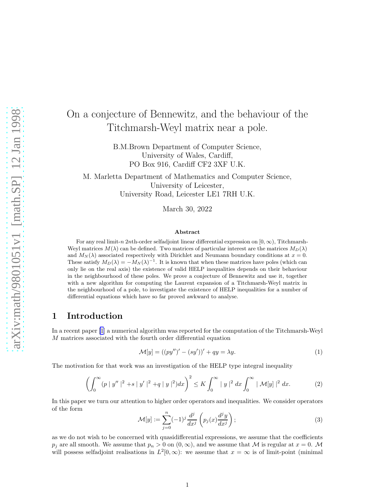# <span id="page-0-0"></span>On a conjecture of Bennewitz, and the behaviour of the Titchmarsh-Weyl matrix near a pole.

B.M.Brown Department of Computer Science, University of Wales, Cardiff, PO Box 916, Cardiff CF2 3XF U.K.

M. Marletta Department of Mathematics and Computer Science, University of Leicester, University Road, Leicester LE1 7RH U.K.

March 30, 2022

#### Abstract

For any real limit-n 2nth-order selfadjoint linear differential expression on  $[0, \infty)$ , Titchmarsh-Weyl matrices  $M(\lambda)$  can be defined. Two matrices of particular interest are the matrices  $M_D(\lambda)$ and  $M_N(\lambda)$  associated respectively with Dirichlet and Neumann boundary conditions at  $x = 0$ . These satisfy  $M_D(\lambda) = -M_N(\lambda)^{-1}$ . It is known that when these matrices have poles (which can only lie on the real axis) the existence of valid HELP inequalities depends on their behaviour in the neighbourhood of these poles. We prove a conjecture of Bennewitz and use it, together with a new algorithm for computing the Laurent expansion of a Titchmarsh-Weyl matrix in the neighbourhood of a pole, to investigate the existence of HELP inequalities for a number of differential equations which have so far proved awkward to analyse.

### 1 Introduction

In a recent paper [\[1](#page-21-0)] a numerical algorithm was reported for the computation of the Titchmarsh-Weyl M matrices associated with the fourth order differential equation

$$
\mathcal{M}[y] = ((py'')' - (sy'))' + qy = \lambda y.
$$
 (1)

The motivation for that work was an investigation of the HELP type integral inequality

$$
\left(\int_0^\infty (p \mid y'' \mid ^2 + s \mid y' \mid ^2 + q \mid y \mid ^2) dx\right)^2 \le K \int_0^\infty |y \mid ^2 dx \int_0^\infty |\mathcal{M}[y] \mid ^2 dx. \tag{2}
$$

In this paper we turn our attention to higher order operators and inequalities. We consider operators of the form

$$
\mathcal{M}[y] := \sum_{j=0}^{n} (-1)^j \frac{d^j}{dx^j} \left( p_j(x) \frac{d^j y}{dx^j} \right); \tag{3}
$$

as we do not wish to be concerned with quasidifferential expressions, we assume that the coefficients  $p_j$  are all smooth. We assume that  $p_n > 0$  on  $(0, \infty)$ , and we assume that M is regular at  $x = 0$ . M will possess selfadjoint realisations in  $L^2[0,\infty)$ : we assume that  $x = \infty$  is of limit-point (minimal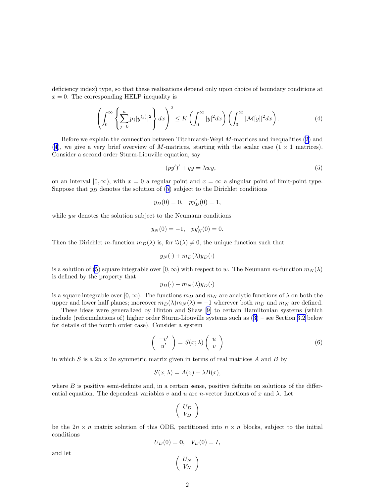<span id="page-1-0"></span>deficiency index) type, so that these realisations depend only upon choice of boundary conditions at  $x = 0$ . The corresponding HELP inequality is

$$
\left(\int_0^\infty \left\{\sum_{j=0}^n p_j |y^{(j)}|^2\right\} dx\right)^2 \le K\left(\int_0^\infty |y|^2 dx\right) \left(\int_0^\infty |\mathcal{M}[y]|^2 dx\right). \tag{4}
$$

Before we explain the connection between Titchmarsh-Weyl M-matrices and inequalities [\(2](#page-0-0)) and (4), we give a very brief overview of M-matrices, starting with the scalar case  $(1 \times 1)$  matrices). Consider a second order Sturm-Liouville equation, say

$$
-(py')' + qy = \lambda wy,\tag{5}
$$

on an interval  $[0, \infty)$ , with  $x = 0$  a regular point and  $x = \infty$  a singular point of limit-point type. Suppose that  $y_D$  denotes the solution of (5) subject to the Dirichlet conditions

$$
y_D(0) = 0
$$
,  $py'_D(0) = 1$ ,

while  $y_N$  denotes the solution subject to the Neumann conditions

$$
y_N(0) = -1
$$
,  $py'_N(0) = 0$ .

Then the Dirichlet m-function  $m_D(\lambda)$  is, for  $\Im(\lambda) \neq 0$ , the unique function such that

$$
y_N(\cdot) + m_D(\lambda)y_D(\cdot)
$$

is a solution of (5) square integrable over  $[0, \infty)$  with respect to w. The Neumann m-function  $m_N(\lambda)$ is defined by the property that

$$
y_D(\cdot)-m_N(\lambda)y_D(\cdot)
$$

is a square integrable over  $[0, \infty)$ . The functions  $m_D$  and  $m_N$  are analytic functions of  $\lambda$  on both the upper and lower half planes; moreover  $m_D(\lambda)m_N(\lambda) = -1$  wherever both  $m_D$  and  $m_N$  are defined.

These ideas were generalized by Hinton and Shaw[[9\]](#page-22-0) to certain Hamiltonian systems (which include (reformulations of) higher order Sturm-Liouville systems such as([3\)](#page-0-0) – see Section [3.2](#page-11-0) below for details of the fourth order case). Consider a system

$$
\begin{pmatrix} -v' \\ u' \end{pmatrix} = S(x;\lambda) \begin{pmatrix} u \\ v \end{pmatrix}
$$
 (6)

in which S is a  $2n \times 2n$  symmetric matrix given in terms of real matrices A and B by

$$
S(x; \lambda) = A(x) + \lambda B(x),
$$

where  $B$  is positive semi-definite and, in a certain sense, positive definite on solutions of the differential equation. The dependent variables v and u are n-vector functions of x and  $\lambda$ . Let

$$
\left(\begin{array}{c}U_D\\V_D\end{array}\right)
$$

be the  $2n \times n$  matrix solution of this ODE, partitioned into  $n \times n$  blocks, subject to the initial conditions

$$
U_D(0) = 0, \quad V_D(0) = I,
$$

 $\setminus$ 

 $\int U_N$  $V_N$ 

and let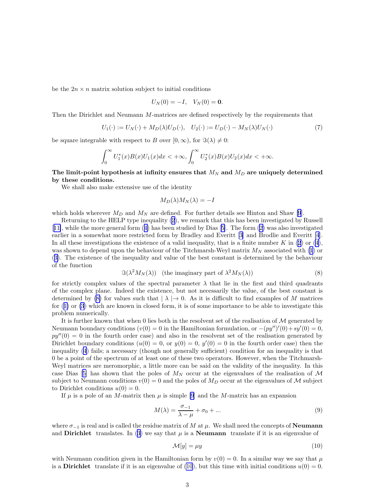<span id="page-2-0"></span>be the  $2n \times n$  matrix solution subject to initial conditions

$$
U_N(0) = -I, \quad V_N(0) = \mathbf{0}.
$$

Then the Dirichlet and Neumann M-matrices are defined respectively by the requirements that

$$
U_1(\cdot) := U_N(\cdot) + M_D(\lambda)U_D(\cdot), \quad U_2(\cdot) := U_D(\cdot) - M_N(\lambda)U_N(\cdot)
$$
\n<sup>(7)</sup>

be square integrable with respect to B over  $[0, \infty)$ , for  $\Im(\lambda) \neq 0$ :

$$
\int_0^\infty U_1^*(x)B(x)U_1(x)dx < +\infty, \int_0^\infty U_2^*(x)B(x)U_2(x)dx < +\infty.
$$

The limit-point hypothesis at infinity ensures that  $M_N$  and  $M_D$  are uniquely determined by these conditions.

We shall also make extensive use of the identity

$$
M_D(\lambda)M_N(\lambda) = -I
$$

which holds wherever  $M_D$  and  $M_N$  are defined. For further details see Hinton and Shaw [\[9](#page-22-0)].

Returning to the HELP type inequality([2\)](#page-0-0), we remark that this has been investigated by Russell [[11\]](#page-22-0), while the more general form([4\)](#page-1-0) has been studied by Dias[[5\]](#page-22-0). The form([2\)](#page-0-0) was also investigated earlierin a somewhat more restricted form by Bradley and Everitt [[3\]](#page-21-0) and Brodlie and Everitt [\[4](#page-22-0)]. In all these investigations the existence of a valid inequality, that is a finite number K in  $(2)$  or  $(4)$ , was shown to depend upon the behaviour of the Titchmarsh-Weyl matrix  $M_N$  associated with [\(1](#page-0-0)) or ([3\)](#page-0-0). The existence of the inequality and value of the best constant is determined by the behaviour of the function

$$
\Im(\lambda^2 M_N(\lambda)) \quad \text{(the imaginary part of } \lambda^2 M_N(\lambda)) \tag{8}
$$

for strictly complex values of the spectral parameter  $\lambda$  that lie in the first and third quadrants of the complex plane. Indeed the existence, but not necessarily the value, of the best constant is determined by (8) for values such that  $| \lambda | \rightarrow 0$ . As it is difficult to find examples of M matrices for([1\)](#page-0-0) or [\(3](#page-0-0)) which are known in closed form, it is of some importance to be able to investigate this problem numerically.

It is further known that when  $0$  lies both in the resolvent set of the realisation of  $\mathcal M$  generated by Neumann boundary conditions  $(v(0) = 0$  in the Hamiltonian formulation, or  $-(py'')'(0) + sy'(0) = 0$ ,  $py''(0) = 0$  in the fourth order case) and also in the resolvent set of the realisation generated by Dirichlet boundary conditions  $(u(0) = 0, \text{ or } y(0) = 0, y'(0) = 0$  in the fourth order case) then the inequality [\(4](#page-1-0)) fails; a necessary (though not generally sufficient) condition for an inequality is that 0 be a point of the spectrum of at least one of these two operators. However, when the Titchmarsh-Weyl matrices are meromorphic, a little more can be said on the validity of the inequality. In this caseDias [[5\]](#page-22-0) has shown that the poles of  $M_N$  occur at the eigenvalues of the realisation of M subject to Neumann conditions  $v(0) = 0$  and the poles of  $M_D$  occur at the eigenvalues of M subject to Dirichlet conditions  $u(0) = 0$ .

If  $\mu$  is a pole of an M-matrix then  $\mu$  is simple [\[9](#page-22-0)] and the M-matrix has an expansion

$$
M(\lambda) = \frac{\sigma_{-1}}{\lambda - \mu} + \sigma_0 + \dots \tag{9}
$$

where  $\sigma_{-1}$  is real and is called the residue matrix of M at  $\mu$ . We shall need the concepts of **Neumann** andDirichlet translates. In ([3\)](#page-0-0) we say that  $\mu$  is a **Neumann** translate if it is an eigenvalue of

$$
\mathcal{M}[y] = \mu y \tag{10}
$$

with Neumann condition given in the Hamiltonian form by  $v(0) = 0$ . In a similar way we say that  $\mu$ is a Dirichlet translate if it is an eigenvalue of (10), but this time with initial conditions  $u(0) = 0$ .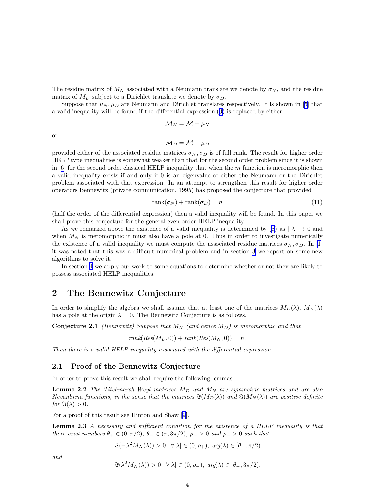<span id="page-3-0"></span>The residue matrix of  $M_N$  associated with a Neumann translate we denote by  $\sigma_N$ , and the residue matrix of  $M_D$  subject to a Dirichlet translate we denote by  $\sigma_D$ .

Suppose that  $\mu_N, \mu_D$  are Neumann and Dirichlet translates respectively. It is shown in [\[5](#page-22-0)] that a valid inequality will be found if the differential expression([3\)](#page-0-0) is replaced by either

$$
\mathcal{M}_N = \mathcal{M} - \mu_N
$$

or

$$
\mathcal{M}_D = \mathcal{M} - \mu_D
$$

provided either of the associated residue matrices  $\sigma_N, \sigma_D$  is of full rank. The result for higher order HELP type inequalities is somewhat weaker than that for the second order problem since it is shown in $[6]$  $[6]$  for the second order classical HELP inequality that when the  $m$  function is meromorphic then a valid inequality exists if and only if 0 is an eigenvalue of either the Neumann or the Dirichlet problem associated with that expression. In an attempt to strengthen this result for higher order operators Bennewitz (private communication, 1995) has proposed the conjecture that provided

$$
rank(\sigma_N) + rank(\sigma_D) = n \tag{11}
$$

(half the order of the differential expression) then a valid inequality will be found. In this paper we shall prove this conjecture for the general even order HELP inequality.

As we remarked above the existence of a valid inequality is determined by  $(8)$  as  $| \lambda | \rightarrow 0$  and when  $M_N$  is meromorphic it must also have a pole at 0. Thus in order to investigate numerically theexistence of a valid inequality we must compute the associated residue matrices  $\sigma_N, \sigma_D$ . In [[1](#page-21-0)] it was noted that this was a difficult numerical problem and in section [3](#page-9-0) we report on some new algorithms to solve it.

In section [4](#page-18-0) we apply our work to some equations to determine whether or not they are likely to possess associated HELP inequalities.

## 2 The Bennewitz Conjecture

In order to simplify the algebra we shall assume that at least one of the matrices  $M_D(\lambda)$ ,  $M_N(\lambda)$ has a pole at the origin  $\lambda = 0$ . The Bennewitz Conjecture is as follows.

**Conjecture 2.1** (Bennewitz) Suppose that  $M_N$  (and hence  $M_D$ ) is meromorphic and that

$$
rank(Res(M_D, 0)) + rank(Res(M_N, 0)) = n.
$$

Then there is a valid HELP inequality associated with the differential expression.

#### 2.1 Proof of the Bennewitz Conjecture

In order to prove this result we shall require the following lemmas.

**Lemma 2.2** The Titchmarsh-Weyl matrices  $M_D$  and  $M_N$  are symmetric matrices and are also Nevanlinna functions, in the sense that the matrices  $\Im(M_D(\lambda))$  and  $\Im(M_N(\lambda))$  are positive definite for  $\Im(\lambda) > 0$ .

For a proof of this result see Hinton and Shaw [\[9](#page-22-0)].

Lemma 2.3 A necessary and sufficient condition for the existence of a HELP inequality is that there exist numbers  $\theta_+ \in (0, \pi/2), \theta_- \in (\pi, 3\pi/2), \rho_+ > 0$  and  $\rho_- > 0$  such that

$$
\Im(-\lambda^2 M_N(\lambda)) > 0 \quad \forall |\lambda| \in (0, \rho_+), \ arg(\lambda) \in [\theta_+, \pi/2)
$$

and

$$
\Im(\lambda^2 M_N(\lambda)) > 0 \quad \forall |\lambda| \in (0, \rho_-), \ \arg(\lambda) \in [\theta_-, 3\pi/2).
$$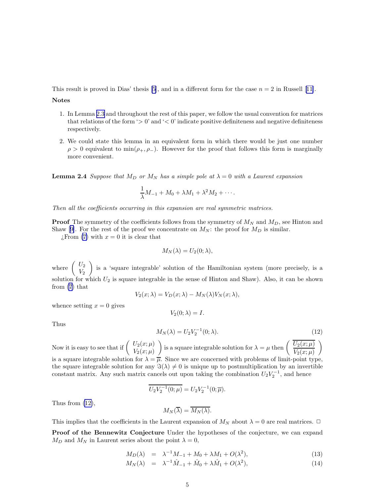<span id="page-4-0"></span>This result is proved in Dias' thesis [\[5](#page-22-0)],and in a different form for the case  $n = 2$  in Russell [[11\]](#page-22-0).

Notes

- 1. In Lemma [2.3](#page-3-0) and throughout the rest of this paper, we follow the usual convention for matrices that relations of the form ' $> 0$ ' and ' $< 0$ ' indicate positive definiteness and negative definiteness respectively.
- 2. We could state this lemma in an equivalent form in which there would be just one number  $\rho > 0$  equivalent to  $\min(\rho_+, \rho_-)$ . However for the proof that follows this form is marginally more convenient.

**Lemma 2.4** Suppose that  $M_D$  or  $M_N$  has a simple pole at  $\lambda = 0$  with a Laurent expansion

$$
\frac{1}{\lambda}M_{-1} + M_0 + \lambda M_1 + \lambda^2 M_2 + \cdots
$$

Then all the coefficients occurring in this expansion are real symmetric matrices.

**Proof** The symmetry of the coefficients follows from the symmetry of  $M_N$  and  $M_D$ , see Hinton and Shaw[[9\]](#page-22-0). For the rest of the proof we concentrate on  $M_N$ : the proof for  $M_D$  is similar.

 $i$ From [\(7\)](#page-2-0) with  $x = 0$  it is clear that

$$
M_N(\lambda) = U_2(0; \lambda),
$$

where  $\begin{pmatrix} U_2 \\ V \end{pmatrix}$  $V_2$  is a 'square integrable' solution of the Hamiltonian system (more precisely, is a solution for which  $U_2$  is square integrable in the sense of Hinton and Shaw). Also, it can be shown from [\(7](#page-2-0)) that

$$
V_2(x; \lambda) = V_D(x; \lambda) - M_N(\lambda) V_N(x; \lambda),
$$

whence setting  $x = 0$  gives

$$
V_2(0; \lambda) = I.
$$

Thus

$$
M_N(\lambda) = U_2 V_2^{-1}(0; \lambda).
$$
 (12)

Now it is easy to see that if  $\begin{pmatrix} U_2(x;\mu) \\ V_2(x;\mu) \end{pmatrix}$  $V_2(x;\mu)$ ) is a square integrable solution for  $\lambda = \mu$  then  $\left( \frac{U_2(x;\mu)}{V_1(x;\mu)} \right)$  $V_2(x;\mu)$  $\setminus$ is a square integrable solution for  $\lambda = \overline{\mu}$ . Since we are concerned with problems of limit-point type, the square integrable solution for any  $\Im(\lambda) \neq 0$  is unique up to postmultiplication by an invertible constant matrix. Any such matrix cancels out upon taking the combination  $U_2 V_2^{-1}$ , and hence

$$
\overline{U_2 V_2^{-1}(0;\mu)} = U_2 V_2^{-1}(0;\overline{\mu}).
$$

Thus from (12),

$$
M_N(\overline{\lambda}) = \overline{M_N(\lambda)}.
$$

This implies that the coefficients in the Laurent expansion of  $M_N$  about  $\lambda = 0$  are real matrices.  $\Box$ 

Proof of the Bennewitz Conjecture Under the hypotheses of the conjecture, we can expand  $M_D$  and  $M_N$  in Laurent series about the point  $\lambda = 0$ ,

$$
M_D(\lambda) = \lambda^{-1} M_{-1} + M_0 + \lambda M_1 + O(\lambda^2), \tag{13}
$$

$$
M_N(\lambda) = \lambda^{-1} \hat{M}_{-1} + \hat{M}_0 + \lambda \hat{M}_1 + O(\lambda^2), \tag{14}
$$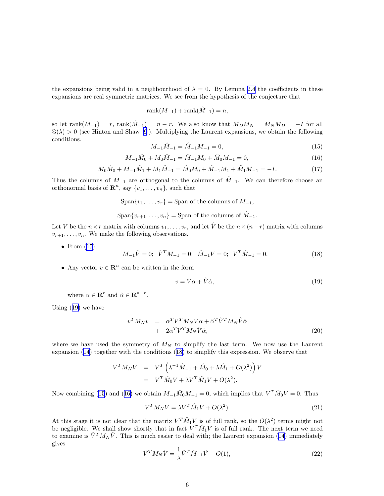<span id="page-5-0"></span>the expansions being valid in a neighbourhood of  $\lambda = 0$ . By Lemma [2.4](#page-4-0) the coefficients in these expansions are real symmetric matrices. We see from the hypothesis of the conjecture that

$$
rank(M_{-1}) + rank(\hat{M}_{-1}) = n,
$$

so let rank $(M_{-1}) = r$ , rank $(M_{-1}) = n - r$ . We also know that  $M_D M_N = M_N M_D = -I$  for all  $\Im(\lambda) > 0$  (see Hinton and Shaw [\[9](#page-22-0)]). Multiplying the Laurent expansions, we obtain the following conditions.

$$
M_{-1}\hat{M}_{-1} = \hat{M}_{-1}M_{-1} = 0,\t\t(15)
$$

$$
M_{-1}\hat{M}_0 + M_0\hat{M}_{-1} = \hat{M}_{-1}M_0 + \hat{M}_0M_{-1} = 0,\tag{16}
$$

$$
M_0\hat{M}_0 + M_{-1}\hat{M}_1 + M_1\hat{M}_{-1} = \hat{M}_0M_0 + \hat{M}_{-1}M_1 + \hat{M}_1M_{-1} = -I.
$$
\n(17)

Thus the columns of  $M_{-1}$  are orthogonal to the columns of  $\hat{M}_{-1}$ . We can therefore choose an orthonormal basis of  $\mathbf{R}^n$ , say  $\{v_1, \ldots, v_n\}$ , such that

 $\text{Span}\{v_1, \ldots, v_r\} = \text{Span of the columns of } M_{-1}$ ,

 $\text{Span}\{v_{r+1}, \ldots, v_n\} = \text{Span of the columns of } \hat{M}_{-1}.$ 

Let V be the  $n \times r$  matrix with columns  $v_1, \ldots, v_r$ , and let  $\hat{V}$  be the  $n \times (n-r)$  matrix with columns  $v_{r+1}, \ldots, v_n$ . We make the following observations.

• From  $(15)$ ,

 $M_{-1}\hat{V} = 0; \quad \hat{V}^T M_{-1} = 0; \quad \hat{M}_{-1}V = 0; \quad V^T \hat{M}_{-1} = 0.$ (18)

• Any vector  $v \in \mathbb{R}^n$  can be written in the form

$$
v = V\alpha + \hat{V}\hat{\alpha},\tag{19}
$$

where  $\alpha \in \mathbf{R}^r$  and  $\hat{\alpha} \in \mathbf{R}^{n-r}$ .

Using (19) we have

$$
v^T M_N v = \alpha^T V^T M_N V \alpha + \hat{\alpha}^T \hat{V}^T M_N \hat{V} \hat{\alpha} + 2\alpha^T V^T M_N \hat{V} \hat{\alpha},
$$
\n(20)

where we have used the symmetry of  $M_N$  to simplify the last term. We now use the Laurent expansion([14](#page-4-0)) together with the conditions (18) to simplify this expression. We observe that

$$
V^T M_N V = V^T \left( \lambda^{-1} \hat{M}_{-1} + \hat{M}_0 + \lambda \hat{M}_1 + O(\lambda^2) \right) V
$$
  
= 
$$
V^T \hat{M}_0 V + \lambda V^T \hat{M}_1 V + O(\lambda^2).
$$

Now combining (15) and (16) we obtain  $M_{-1}\hat{M}_0M_{-1}=0$ , which implies that  $V^T\hat{M}_0V=0$ . Thus

$$
V^T M_N V = \lambda V^T \hat{M}_1 V + O(\lambda^2). \tag{21}
$$

At this stage it is not clear that the matrix  $V^T \hat{M}_1 V$  is of full rank, so the  $O(\lambda^2)$  terms might not be negligible. We shall show shortly that in fact  $V^T \hat{M}_1 V$  is of full rank. The next term we need to examine is  $\hat{V}^T M_N \hat{V}$ . This is much easier to deal with; the Laurent expansion [\(14](#page-4-0)) immediately gives

$$
\hat{V}^T M_N \hat{V} = \frac{1}{\lambda} \hat{V}^T \hat{M}_{-1} \hat{V} + O(1),\tag{22}
$$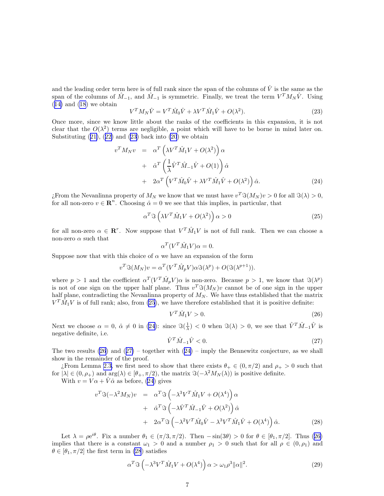<span id="page-6-0"></span>and the leading order term here is of full rank since the span of the columns of  $\hat{V}$  is the same as the span of the columns of  $\hat{M}_{-1}$ , and  $\hat{M}_{-1}$  is symmetric. Finally, we treat the term  $V^{T}M_{N}\hat{V}$ . Using  $(14)$  $(14)$  and  $(18)$  we obtain

$$
V^T M_N \hat{V} = V^T \hat{M}_0 \hat{V} + \lambda V^T \hat{M}_1 \hat{V} + O(\lambda^2). \tag{23}
$$

Once more, since we know little about the ranks of the coefficients in this expansion, it is not clear that the  $O(\lambda^2)$  terms are negligible, a point which will have to be borne in mind later on. Substituting $(21)$  $(21)$ ,  $(22)$  $(22)$  and  $(23)$  back into  $(20)$  we obtain

$$
v^T M_N v = \alpha^T \left( \lambda V^T \hat{M}_1 V + O(\lambda^2) \right) \alpha + \hat{\alpha}^T \left( \frac{1}{\lambda} \hat{V}^T \hat{M}_{-1} \hat{V} + O(1) \right) \hat{\alpha} + 2\alpha^T \left( V^T \hat{M}_0 \hat{V} + \lambda V^T \hat{M}_1 \hat{V} + O(\lambda^2) \right) \hat{\alpha}.
$$
 (24)

¿From the Nevanlinna property of  $M_N$  we know that we must have  $v^T \Im(M_N) v > 0$  for all  $\Im(\lambda) > 0$ , for all non-zero  $v \in \mathbb{R}^n$ . Choosing  $\hat{\alpha} = 0$  we see that this implies, in particular, that

$$
\alpha^T \Im \left( \lambda V^T \hat{M}_1 V + O(\lambda^2) \right) \alpha > 0 \tag{25}
$$

for all non-zero  $\alpha \in \mathbb{R}^r$ . Now suppose that  $V^T \hat{M}_1 V$  is not of full rank. Then we can choose a non-zero  $\alpha$  such that

$$
\alpha^T (V^T \hat{M}_1 V) \alpha = 0.
$$

Suppose now that with this choice of  $\alpha$  we have an expansion of the form

$$
v^T \Im(M_N) v = \alpha^T (V^T \hat{M}_p V) \alpha \Im(\lambda^p) + O(\Im(\lambda^{p+1})).
$$

where  $p > 1$  and the coefficient  $\alpha^T (V^T \hat{M}_p V) \alpha$  is non-zero. Because  $p > 1$ , we know that  $\Im(\lambda^p)$ is not of one sign on the upper half plane. Thus  $v^T \Im(M_N)v$  cannot be of one sign in the upper half plane, contradicting the Nevanlinna property of  $M_N$ . We have thus established that the matrix  $V^T \tilde{M}_1 V$  is of full rank; also, from (25), we have therefore established that it is positive definite:

$$
V^T \hat{M}_1 V > 0. \tag{26}
$$

Next we choose  $\alpha = 0$ ,  $\hat{\alpha} \neq 0$  in (24): since  $\Im(\frac{1}{\lambda}) < 0$  when  $\Im(\lambda) > 0$ , we see that  $\hat{V}^T \hat{M}_{-1} \hat{V}$  is negative definite, i.e.

$$
\hat{V}^T \hat{M}_{-1} \hat{V} < 0. \tag{27}
$$

The two results  $(26)$  and  $(27)$  – together with  $(24)$  – imply the Bennewitz conjecture, as we shall show in the remainder of the proof.

; From Lemma [2.3,](#page-3-0) we first need to show that there exists  $\theta_+ \in (0, \pi/2)$  and  $\rho_+ > 0$  such that for  $|\lambda| \in (0, \rho_+)$  and  $\arg(\lambda) \in [\theta_+, \pi/2)$ , the matrix  $\Im(-\lambda^2 M_N(\lambda))$  is positive definite.

With  $v = V\alpha + \hat{V}\hat{\alpha}$  as before, (24) gives

$$
v^T \mathfrak{F}(-\lambda^2 M_N) v = \alpha^T \mathfrak{F}\left(-\lambda^3 V^T \hat{M}_1 V + O(\lambda^4)\right) \alpha + \hat{\alpha}^T \mathfrak{F}\left(-\lambda \hat{V}^T \hat{M}_{-1} \hat{V} + O(\lambda^2)\right) \hat{\alpha} + 2\alpha^T \mathfrak{F}\left(-\lambda^2 V^T \hat{M}_0 \hat{V} - \lambda^3 V^T \hat{M}_1 \hat{V} + O(\lambda^4)\right) \hat{\alpha}.
$$
 (28)

Let  $\lambda = \rho e^{i\theta}$ . Fix a number  $\theta_1 \in (\pi/3, \pi/2)$ . Then  $-\sin(3\theta) > 0$  for  $\theta \in [\theta_1, \pi/2]$ . Thus (26) implies that there is a constant  $\omega_1 > 0$  and a number  $\rho_1 > 0$  such that for all  $\rho \in (0, \rho_1)$  and  $\theta \in [\theta_1, \pi/2]$  the first term in (28) satisfies

$$
\alpha^T \Im \left( -\lambda^3 V^T \hat{M}_1 V + O(\lambda^4) \right) \alpha > \omega_1 \rho^3 ||\alpha||^2. \tag{29}
$$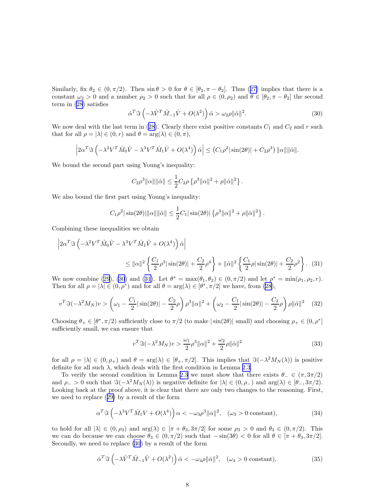<span id="page-7-0"></span>Similarly,fix  $\theta_2 \in (0, \pi/2)$ . Then  $\sin \theta > 0$  for  $\theta \in [\theta_2, \pi - \theta_2]$ . Thus ([27\)](#page-6-0) implies that there is a constant  $\omega_2 > 0$  and a number  $\rho_2 > 0$  such that for all  $\rho \in (0, \rho_2)$  and  $\theta \in [\theta_2, \pi - \theta_2]$  the second term in [\(28](#page-6-0)) satisfies

$$
\hat{\alpha}^T \Im \left( -\lambda \hat{V}^T \hat{M}_{-1} \hat{V} + O(\lambda^2) \right) \hat{\alpha} > \omega_2 \rho \| \hat{\alpha} \|^2. \tag{30}
$$

Wenow deal with the last term in ([28\)](#page-6-0). Clearly there exist positive constants  $C_1$  and  $C_2$  and r such that for all  $\rho = |\lambda| \in (0, r)$  and  $\theta = \arg(\lambda) \in (0, \pi)$ ,

$$
\left|2\alpha^T\Im\left(-\lambda^2V^T\hat{M}_0\hat{V}-\lambda^3V^T\hat{M}_1\hat{V}+O(\lambda^4)\right)\hat{\alpha}\right|\leq \left(C_1\rho^2|\sin(2\theta)|+C_2\rho^3\right)\|\alpha\|\|\hat{\alpha}\|.
$$

We bound the second part using Young's inequality:

$$
C_2 \rho^3 ||\alpha|| ||\hat{\alpha}|| \le \frac{1}{2} C_2 \rho \left\{ \rho^3 ||\alpha||^2 + \rho ||\hat{\alpha}||^2 \right\}.
$$

We also bound the first part using Young's inequality:

$$
C_1\rho^2 |\sin(2\theta)| ||\alpha|| ||\hat{\alpha}|| \leq \frac{1}{2} C_1 |\sin(2\theta)| \left\{ \rho^3 ||\alpha||^2 + \rho ||\hat{\alpha}||^2 \right\}.
$$

Combining these inequalities we obtain

$$
\left| 2\alpha^T \Im \left( -\lambda^2 V^T \hat{M}_0 \hat{V} - \lambda^3 V^T \hat{M}_1 \hat{V} + O(\lambda^4) \right) \hat{\alpha} \right|
$$
  

$$
\leq ||\alpha||^2 \left\{ \frac{C_1}{2} \rho^3 |\sin(2\theta)| + \frac{C_2}{2} \rho^4 \right\} + ||\hat{\alpha}||^2 \left\{ \frac{C_1}{2} \rho |\sin(2\theta)| + \frac{C_2}{2} \rho^2 \right\}. (31)
$$

We now combine [\(29](#page-6-0)), (30) and (31). Let  $\theta^* = \max(\theta_1, \theta_2) \in (0, \pi/2)$  and let  $\rho^* = \min(\rho_1, \rho_2, r)$ . Then for all  $\rho = |\lambda| \in (0, \rho^*)$  and for all  $\theta = \arg(\lambda) \in [\theta^*, \pi/2]$  we have, from [\(28](#page-6-0)),

$$
v^T \Im(-\lambda^2 M_N) v > \left(\omega_1 - \frac{C_1}{2} |\sin(2\theta)| - \frac{C_2}{2} \rho \right) \rho^3 ||\alpha||^2 + \left(\omega_2 - \frac{C_1}{2} |\sin(2\theta)| - \frac{C_2}{2} \rho \right) \rho ||\hat{\alpha}||^2 \tag{32}
$$

Choosing  $\theta_+ \in [\theta^*, \pi/2)$  sufficiently close to  $\pi/2$  (to make  $|\sin(2\theta)|$  small) and choosing  $\rho_+ \in (0, \rho^*]$ sufficiently small, we can ensure that

$$
v^T \Im(-\lambda^2 M_N) v > \frac{\omega_1}{2} \rho^3 ||\alpha||^2 + \frac{\omega_2}{2} \rho ||\hat{\alpha}||^2
$$
 (33)

for all  $\rho = |\lambda| \in (0, \rho_+)$  and  $\theta = \arg(\lambda) \in [\theta_+, \pi/2]$ . This implies that  $\Im(-\lambda^2 M_N(\lambda))$  is positive definite for all such  $\lambda$ , which deals with the first condition in Lemma [2.3](#page-3-0).

To verify the second condition in Lemma [2.3](#page-3-0) we must show that there exists  $\theta_-\in (\pi, 3\pi/2)$ and  $\rho_- > 0$  such that  $\Im(-\lambda^2 M_N(\lambda))$  is negative definite for  $|\lambda| \in (0, \rho_-)$  and  $\arg(\lambda) \in [\theta_-, \frac{3\pi}{2})$ . Looking back at the proof above, it is clear that there are only two changes to the reasoning. First, we need to replace([29\)](#page-6-0) by a result of the form

$$
\alpha^T \Im \left( -\lambda^3 V^T \hat{M}_1 V + O(\lambda^4) \right) \alpha < -\omega_3 \rho^3 \| \alpha \|^2, \quad (\omega_3 > 0 \text{ constant}), \tag{34}
$$

to hold for all  $|\lambda| \in (0, \rho_3)$  and  $\arg(\lambda) \in [\pi + \theta_3, 3\pi/2]$  for some  $\rho_3 > 0$  and  $\theta_3 \in (0, \pi/2)$ . This we can do because we can choose  $\theta_3 \in (0, \pi/2)$  such that  $-\sin(3\theta) < 0$  for all  $\theta \in [\pi + \theta_3, 3\pi/2]$ . Secondly, we need to replace (30) by a result of the form

$$
\hat{\alpha}^T \Im \left( -\lambda \hat{V}^T \hat{M}_{-1} \hat{V} + O(\lambda^2) \right) \hat{\alpha} < -\omega_4 \rho \| \hat{\alpha} \|^2, \quad (\omega_4 > 0 \text{ constant}), \tag{35}
$$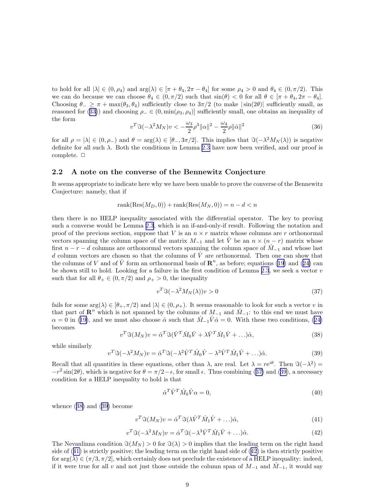<span id="page-8-0"></span>to hold for all  $|\lambda| \in (0, \rho_4)$  and  $\arg(\lambda) \in [\pi + \theta_4, 2\pi - \theta_4]$  for some  $\rho_4 > 0$  and  $\theta_4 \in (0, \pi/2)$ . This we can do because we can choose  $\theta_4 \in (0, \pi/2)$  such that  $\sin(\theta) < 0$  for all  $\theta \in [\pi + \theta_4, 2\pi - \theta_4]$ . Choosing  $\theta_-\geq \pi+\max(\theta_3,\theta_4)$  sufficiently close to  $3\pi/2$  (to make  $|\sin(2\theta)|$  sufficiently small, as reasonedfor ([33\)](#page-7-0)) and choosing  $\rho_-\in(0,\min(\rho_3,\rho_4)]$  sufficiently small, one obtains an inequality of the form

$$
v^T \Im(-\lambda^2 M_N)v < -\frac{\omega_3}{2}\rho^3 \|\alpha\|^2 - \frac{\omega_4}{2}\rho \|\hat{\alpha}\|^2 \tag{36}
$$

for all  $\rho = |\lambda| \in (0, \rho_-)$  and  $\theta = \arg(\lambda) \in [\theta_-, 3\pi/2]$ . This implies that  $\Im(-\lambda^2 M_N(\lambda))$  is negative definite for all such λ. Both the conditions in Lemma [2.3](#page-3-0) have now been verified, and our proof is complete.  $\Box$ 

#### 2.2 A note on the converse of the Bennewitz Conjecture

It seems appropriate to indicate here why we have been unable to prove the converse of the Bennewitz Conjecture: namely, that if

$$
rank(Res(M_D, 0)) + rank(Res(M_N, 0)) = n - d < n
$$

then there is no HELP inequality associated with the differential operator. The key to proving such a converse would be Lemma [2.3](#page-3-0), which is an if-and-only-if result. Following the notation and proof of the previous section, suppose that V is an  $n \times r$  matrix whose columns are r orthonormal vectors spanning the column space of the matrix  $M_{-1}$  and let  $\hat{V}$  be an  $n \times (n-r)$  matrix whose first  $n - r - d$  columns are orthonormal vectors spanning the column space of  $\hat{M}_{-1}$  and whose last d column vectors are chosen so that the columns of  $\hat{V}$  are orthonormal. Then one can show that thecolumns of V and of  $\hat{V}$  form an orthonormal basis of  $\mathbb{R}^n$ , as before; equations [\(19](#page-5-0)) and ([24\)](#page-6-0) can be shown still to hold. Looking for a failure in the first condition of Lemma [2.3](#page-3-0), we seek a vector  $v$ such that for all  $\theta_+ \in (0, \pi/2)$  and  $\rho_+ > 0$ , the inequality

$$
v^T \Im(-\lambda^2 M_N(\lambda)) v > 0 \tag{37}
$$

fails for some  $\arg(\lambda) \in [\theta_+, \pi/2]$  and  $|\lambda| \in (0, \rho_+)$ . It seems reasonable to look for such a vector v in that part of  $\mathbb{R}^n$  which is not spanned by the columns of  $M_{-1}$  and  $\hat{M}_{-1}$ : to this end we must have  $\alpha = 0$  $\alpha = 0$  $\alpha = 0$  in ([19\)](#page-5-0), and we must also choose  $\hat{\alpha}$  such that  $\hat{M}_{-1}\hat{V}\hat{\alpha} = 0$ . With these two conditions, ([24\)](#page-6-0) becomes

$$
v^T \mathcal{S}(M_N) v = \hat{\alpha}^T \mathcal{S}(\hat{V}^T \hat{M}_0 \hat{V} + \lambda \hat{V}^T \hat{M}_1 \hat{V} + \ldots) \hat{\alpha},\tag{38}
$$

while similarly

$$
v^T \mathfrak{F}(-\lambda^2 M_N) v = \hat{\alpha}^T \mathfrak{F}(-\lambda^2 \hat{V}^T \hat{M}_0 \hat{V} - \lambda^3 \hat{V}^T \hat{M}_1 \hat{V} + \ldots) \hat{\alpha}.
$$
 (39)

Recall that all quantities in these equations, other than  $\lambda$ , are real. Let  $\lambda = re^{i\theta}$ . Then  $\Im(-\lambda^2)$  $-r^2\sin(2\theta)$ , which is negative for  $\theta = \pi/2 - \epsilon$ , for small  $\epsilon$ . Thus combining (37) and (39), a necessary condition for a HELP inequality to hold is that

$$
\hat{\alpha}^T \hat{V}^T \hat{M}_0 \hat{V} \alpha = 0,\tag{40}
$$

whence (38) and (39) become

$$
v^T \mathfrak{F}(M_N)v = \hat{\alpha}^T \mathfrak{F}(\lambda \hat{V}^T \hat{M}_1 \hat{V} + \ldots) \hat{\alpha},\tag{41}
$$

$$
v^T \mathfrak{F}(-\lambda^2 M_N) v = \hat{\alpha}^T \mathfrak{F}(-\lambda^3 \hat{V}^T \hat{M}_1 \hat{V} + \ldots) \hat{\alpha}.
$$
\n(42)

The Nevanlinna condition  $\Im(M_N) > 0$  for  $\Im(\lambda) > 0$  implies that the leading term on the right hand side of (41) is strictly positive; the leading term on the right hand side of (42) is then strictly positive for  $\arg(\lambda) \in (\pi/3, \pi/2]$ , which certainly does not preclude the existence of a HELP inequality: indeed, if it were true for all v and not just those outside the column span of  $M_{-1}$  and  $M_{-1}$ , it would say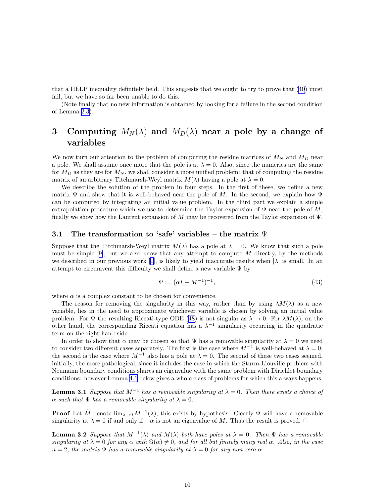<span id="page-9-0"></span>that a HELP inequality definitely held. This suggests that we ought to try to prove that [\(40](#page-8-0)) must fail, but we have so far been unable to do this.

(Note finally that no new information is obtained by looking for a failure in the second condition of Lemma [2.3\)](#page-3-0).

## 3 Computing  $M_N(\lambda)$  and  $M_D(\lambda)$  near a pole by a change of variables

We now turn our attention to the problem of computing the residue matrices of  $M_N$  and  $M_D$  near a pole. We shall assume once more that the pole is at  $\lambda = 0$ . Also, since the numerics are the same for  $M_D$  as they are for  $M_N$ , we shall consider a more unified problem: that of computing the residue matrix of an arbitrary Titchmarsh-Weyl matrix  $M(\lambda)$  having a pole at  $\lambda = 0$ .

We describe the solution of the problem in four steps. In the first of these, we define a new matrix  $\Psi$  and show that it is well-behaved near the pole of M. In the second, we explain how  $\Psi$ can be computed by integrating an initial value problem. In the third part we explain a simple extrapolation procedure which we use to determine the Taylor expansion of  $\Psi$  near the pole of M; finally we show how the Laurent expansion of M may be recovered from the Taylor expansion of  $\Psi$ .

#### 3.1 The transformation to 'safe' variables – the matrix  $\Psi$

Suppose that the Titchmarsh-Weyl matrix  $M(\lambda)$  has a pole at  $\lambda = 0$ . We know that such a pole mustbe simple  $[9]$  $[9]$ , but we also know that any attempt to compute M directly, by the methods wedescribed in our previous work [[1\]](#page-21-0), is likely to yield inaccurate results when  $|\lambda|$  is small. In an attempt to circumvent this difficulty we shall define a new variable  $\Psi$  by

$$
\Psi := (\alpha I + M^{-1})^{-1},\tag{43}
$$

where  $\alpha$  is a complex constant to be chosen for convenience.

The reason for removing the singularity in this way, rather than by using  $\lambda M(\lambda)$  as a new variable, lies in the need to approximate whichever variable is chosen by solving an initial value problem.For  $\Psi$  the resulting Riccati-type ODE ([48\)](#page-12-0) is not singular as  $\lambda \to 0$ . For  $\lambda M(\lambda)$ , on the other hand, the corresponding Riccati equation has a  $\lambda^{-1}$  singularity occurring in the quadratic term on the right hand side.

In order to show that  $\alpha$  may be chosen so that  $\Psi$  has a removable singularity at  $\lambda = 0$  we need to consider two different cases separately. The first is the case where  $M^{-1}$  is well-behaved at  $\lambda = 0$ ; the second is the case where  $M^{-1}$  also has a pole at  $\lambda = 0$ . The second of these two cases seemed, initially, the more pathological, since it includes the case in which the Sturm-Liouville problem with Neumann boundary conditions shares an eigenvalue with the same problem with Dirichlet boundary conditions: however Lemma [4.1](#page-18-0) below gives a whole class of problems for which this always happens.

**Lemma 3.1** Suppose that  $M^{-1}$  has a removable singularity at  $\lambda = 0$ . Then there exists a choice of  $\alpha$  such that  $\Psi$  has a removable singularity at  $\lambda = 0$ .

**Proof** Let  $\tilde{M}$  denote  $\lim_{\lambda\to 0} M^{-1}(\lambda)$ ; this exists by hypothesis. Clearly  $\Psi$  will have a removable singularity at  $\lambda = 0$  if and only if  $-\alpha$  is not an eigenvalue of  $\tilde{M}$ . Thus the result is proved.  $\Box$ 

**Lemma 3.2** Suppose that  $M^{-1}(\lambda)$  and  $M(\lambda)$  both have poles at  $\lambda = 0$ . Then  $\Psi$  has a removable singularity at  $\lambda = 0$  for any  $\alpha$  with  $\Im(\alpha) \neq 0$ , and for all but finitely many real  $\alpha$ . Also, in the case  $n = 2$ , the matrix  $\Psi$  has a removable singularity at  $\lambda = 0$  for any non-zero  $\alpha$ .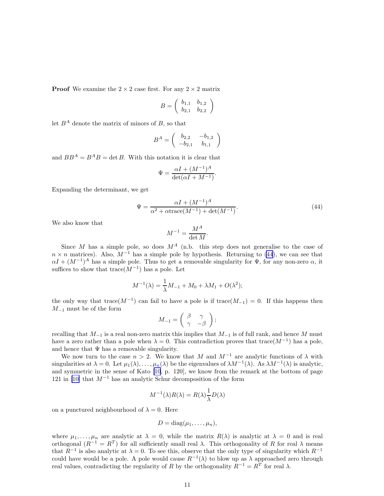**Proof** We examine the  $2 \times 2$  case first. For any  $2 \times 2$  matrix

$$
B = \left(\begin{array}{cc} b_{1,1} & b_{1,2} \\ b_{2,1} & b_{2,2} \end{array}\right)
$$

let  $B^A$  denote the matrix of minors of B, so that

$$
B^A = \left( \begin{array}{cc} b_{2,2} & -b_{1,2} \\ -b_{2,1} & b_{1,1} \end{array} \right)
$$

and  $BB^A = B^A B = \det B$ . With this notation it is clear that

$$
\Psi = \frac{\alpha I + (M^{-1})^A}{\det(\alpha I + M^{-1})}.
$$

Expanding the determinant, we get

$$
\Psi = \frac{\alpha I + (M^{-1})^A}{\alpha^2 + \alpha \text{trace}(M^{-1}) + \det(M^{-1})}.
$$
\n(44)

We also know that

$$
M^{-1} = \frac{M^A}{\det M}.
$$

Since M has a simple pole, so does  $M^A$  (n.b. this step does not generalise to the case of  $n \times n$  matrices). Also,  $M^{-1}$  has a simple pole by hypothesis. Returning to (44), we can see that  $\alpha I + (M^{-1})^A$  has a simple pole. Thus to get a removable singularity for  $\Psi$ , for any non-zero  $\alpha$ , it suffices to show that  $trace(M^{-1})$  has a pole. Let

$$
M^{-1}(\lambda) = \frac{1}{\lambda}M_{-1} + M_0 + \lambda M_1 + O(\lambda^2);
$$

the only way that trace( $M^{-1}$ ) can fail to have a pole is if trace( $M_{-1}$ ) = 0. If this happens then  $M_{-1}$  must be of the form

$$
M_{-1} = \left(\begin{array}{cc} \beta & \gamma \\ \gamma & -\beta \end{array}\right);
$$

recalling that  $M_{-1}$  is a real non-zero matrix this implies that  $M_{-1}$  is of full rank, and hence M must have a zero rather than a pole when  $\lambda = 0$ . This contradiction proves that trace( $M^{-1}$ ) has a pole, and hence that  $\Psi$  has a removable singularity.

We now turn to the case  $n > 2$ . We know that M and  $M^{-1}$  are analytic functions of  $\lambda$  with singularities at  $\lambda = 0$ . Let  $\mu_1(\lambda), \ldots, \mu_n(\lambda)$  be the eigenvalues of  $\lambda M^{-1}(\lambda)$ . As  $\lambda M^{-1}(\lambda)$  is analytic, and symmetric in the sense of Kato [\[10](#page-22-0), p. 120], we know from the remark at the bottom of page 121 in [\[10\]](#page-22-0) that  $M^{-1}$  has an analytic Schur decomposition of the form

$$
M^{-1}(\lambda)R(\lambda) = R(\lambda)\frac{1}{\lambda}D(\lambda)
$$

on a punctured neighbourhood of  $\lambda = 0$ . Here

$$
D = \mathrm{diag}(\mu_1, \ldots, \mu_n),
$$

where  $\mu_1, \ldots, \mu_n$  are analytic at  $\lambda = 0$ , while the matrix  $R(\lambda)$  is analytic at  $\lambda = 0$  and is real orthogonal  $(R^{-1} = R^T)$  for all sufficiently small real λ. This orthogonality of R for real λ means that  $R^{-1}$  is also analytic at  $\lambda = 0$ . To see this, observe that the only type of singularity which  $R^{-1}$ could have would be a pole. A pole would cause  $R^{-1}(\lambda)$  to blow up as  $\lambda$  approached zero through real values, contradicting the regularity of R by the orthogonality  $R^{-1} = R^{T}$  for real  $\lambda$ .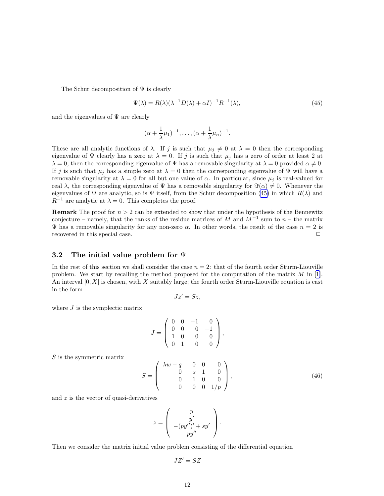<span id="page-11-0"></span>The Schur decomposition of  $\Psi$  is clearly

$$
\Psi(\lambda) = R(\lambda)(\lambda^{-1}D(\lambda) + \alpha I)^{-1}R^{-1}(\lambda),\tag{45}
$$

and the eigenvalues of  $\Psi$  are clearly

$$
(\alpha+\frac{1}{\lambda}\mu_1)^{-1},\ldots,(\alpha+\frac{1}{\lambda}\mu_n)^{-1}.
$$

These are all analytic functions of  $\lambda$ . If j is such that  $\mu_j \neq 0$  at  $\lambda = 0$  then the corresponding eigenvalue of  $\Psi$  clearly has a zero at  $\lambda = 0$ . If j is such that  $\mu_j$  has a zero of order at least 2 at  $\lambda = 0$ , then the corresponding eigenvalue of  $\Psi$  has a removable singularity at  $\lambda = 0$  provided  $\alpha \neq 0$ . If j is such that  $\mu_j$  has a simple zero at  $\lambda = 0$  then the corresponding eigenvalue of  $\Psi$  will have a removable singularity at  $\lambda = 0$  for all but one value of  $\alpha$ . In particular, since  $\mu_j$  is real-valued for real  $\lambda$ , the corresponding eigenvalue of  $\Psi$  has a removable singularity for  $\Im(\alpha) \neq 0$ . Whenever the eigenvalues of  $\Psi$  are analytic, so is  $\Psi$  itself, from the Schur decomposition (45) in which  $R(\lambda)$  and  $R^{-1}$  are analytic at  $\lambda = 0$ . This completes the proof.

**Remark** The proof for  $n > 2$  can be extended to show that under the hypothesis of the Bennewitz conjecture – namely, that the ranks of the residue matrices of M and  $M^{-1}$  sum to  $n-$  the matrix Ψ has a removable singularity for any non-zero  $\alpha$ . In other words, the result of the case  $n = 2$  is recovered in this special case.  $\Box$ 

#### 3.2 The initial value problem for Ψ

In the rest of this section we shall consider the case  $n = 2$ : that of the fourth order Sturm-Liouville problem. We start by recalling the method proposed for the computation of the matrix  $M$  in [\[1](#page-21-0)]. An interval  $[0, X]$  is chosen, with X suitably large; the fourth order Sturm-Liouville equation is cast in the form

$$
Jz'=Sz,
$$

where  $J$  is the symplectic matrix

$$
J = \left(\begin{array}{rrr} 0 & 0 & -1 & 0 \\ 0 & 0 & 0 & -1 \\ 1 & 0 & 0 & 0 \\ 0 & 1 & 0 & 0 \end{array}\right),
$$

S is the symmetric matrix

$$
S = \begin{pmatrix} \lambda w - q & 0 & 0 & 0 \\ 0 & -s & 1 & 0 \\ 0 & 1 & 0 & 0 \\ 0 & 0 & 0 & 1/p \end{pmatrix},
$$
(46)

and z is the vector of quasi-derivatives

$$
z = \left(\begin{array}{c} y \\ y' \\ -(py'')' + sy' \\ py'' \end{array}\right).
$$

Then we consider the matrix initial value problem consisting of the differential equation

$$
JZ'=SZ
$$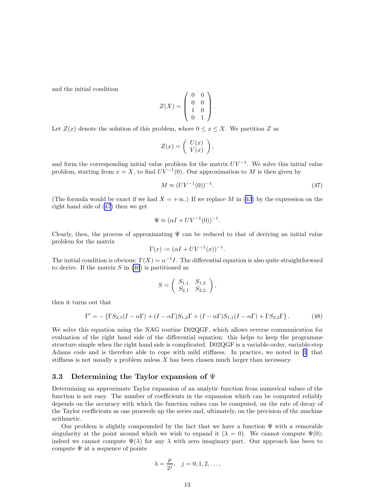<span id="page-12-0"></span>and the initial condition

$$
Z(X) = \left(\begin{array}{cc} 0 & 0 \\ 0 & 0 \\ 1 & 0 \\ 0 & 1 \end{array}\right).
$$

Let  $Z(x)$  denote the solution of this problem, where  $0 \leq x \leq X$ . We partition Z as

$$
Z(x) = \left(\begin{array}{c} U(x) \\ V(x) \end{array}\right),\,
$$

and form the corresponding initial value problem for the matrix  $UV^{-1}$ . We solve this initial value problem, starting from  $x = X$ , to find  $\overline{UV}^{-1}(0)$ . Our approximation to M is then given by

$$
M \approx (UV^{-1}(0))^{-1}.\tag{47}
$$

(The formula would be exact if we had  $X = +\infty$ .) If we replace M in [\(43](#page-9-0)) by the expression on the right hand side of (47) then we get

$$
\Psi \approx (\alpha I + UV^{-1}(0))^{-1}.
$$

Clearly, then, the process of approximating  $\Psi$  can be reduced to that of deriving an initial value problem for the matrix

$$
\Gamma(x) := (\alpha I + UV^{-1}(x))^{-1}.
$$

The initial condition is obvious:  $\Gamma(X) = \alpha^{-1}I$ . The differential equation is also quite straightforward to derive. If the matrix  $S$  in [\(46](#page-11-0)) is partitioned as

$$
S = \left( \begin{array}{cc} S_{1,1} & S_{1,2} \\ S_{2,1} & S_{2,2} \end{array} \right),
$$

then it turns out that

$$
\Gamma' = -\left\{\Gamma S_{2,1}(I - \alpha \Gamma) + (I - \alpha \Gamma)S_{1,2}\Gamma + (I - \alpha \Gamma)S_{1,1}(I - \alpha \Gamma) + \Gamma S_{2,2}\Gamma\right\}.
$$
 (48)

We solve this equation using the NAG routine D02QGF, which allows reverse communication for evaluation of the right hand side of the differential equation: this helps to keep the programme structure simple when the right hand side is complicated. D02QGF is a variable-order, variable-step Adams code and is therefore able to cope with mild stiffness. In practice, we noted in [\[1](#page-21-0)] that stiffness is not usually a problem unless X has been chosen much larger than necessary.

#### 3.3 Determining the Taylor expansion of Ψ

Determining an approximate Taylor expansion of an analytic function from numerical values of the function is not easy. The number of coefficients in the expansion which can be computed reliably depends on the accuracy with which the function values can be computed, on the rate of decay of the Taylor coefficients as one proceeds up the series and, ultimately, on the precision of the machine arithmetic.

Our problem is slightly compounded by the fact that we have a function  $\Psi$  with a removable singularity at the point around which we wish to expand it ( $\lambda = 0$ ). We cannot compute  $\Psi(0)$ ; indeed we cannot compute  $\Psi(\lambda)$  for any  $\lambda$  with zero imaginary part. Our approach has been to compute  $\Psi$  at a sequence of points

$$
\lambda = \frac{\mu}{2^j}, \quad j = 0, 1, 2, \dots,
$$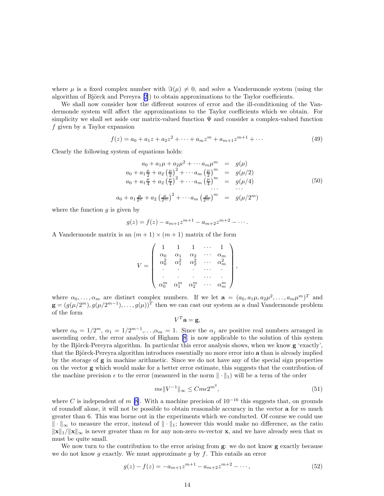<span id="page-13-0"></span>where  $\mu$  is a fixed complex number with  $\Im(\mu) \neq 0$ , and solve a Vandermonde system (using the algorithm of Björck and Pereyra  $[2]$ ) to obtain approximations to the Taylor coefficients.

We shall now consider how the different sources of error and the ill-conditioning of the Vandermonde system will affect the approximations to the Taylor coefficients which we obtain. For simplicity we shall set aside our matrix-valued function  $\Psi$  and consider a complex-valued function  $f$  given by a Taylor expansion

$$
f(z) = a_0 + a_1 z + a_2 z^2 + \dots + a_m z^m + a_{m+1} z^{m+1} + \dots
$$
 (49)

Clearly the following system of equations holds:

$$
a_0 + a_1 \mu + a_2 \mu^2 + \cdots a_m \mu^m = g(\mu)
$$
  
\n
$$
a_0 + a_1 \frac{\mu}{2} + a_2 \left(\frac{\mu}{2}\right)^2 + \cdots a_m \left(\frac{\mu}{2}\right)^m = g(\mu/2)
$$
  
\n
$$
a_0 + a_1 \frac{\mu}{4} + a_2 \left(\frac{\mu}{4}\right)^2 + \cdots a_m \left(\frac{\mu}{4}\right)^m = g(\mu/4)
$$
  
\n
$$
\cdots
$$
\n(50)

$$
a_0 + a_1 \frac{\mu}{2^n} + a_2 \left(\frac{\mu}{2^m}\right)^2 + \cdots + a_m \left(\frac{\mu}{2^m}\right)^m = g(\mu/2^m)
$$

where the function  $g$  is given by

$$
g(z) = f(z) - a_{m+1}z^{m+1} - a_{m+2}z^{m+2} - \cdots
$$

A Vandermonde matrix is an  $(m+1) \times (m+1)$  matrix of the form

$$
V = \left( \begin{array}{ccccc} 1 & 1 & 1 & \cdots & 1 \\ \alpha_0 & \alpha_1 & \alpha_2 & \cdots & \alpha_m \\ \alpha_0^2 & \alpha_1^2 & \alpha_2^2 & \cdots & \alpha_m^2 \\ \cdot & \cdot & \cdot & \cdots & \cdot \\ \cdot & \cdot & \cdot & \cdots & \cdot \\ \alpha_0^m & \alpha_1^m & \alpha_2^m & \cdots & \alpha_m^m \end{array} \right)
$$

where  $\alpha_0, \ldots, \alpha_m$  are distinct complex numbers. If we let  $\mathbf{a} = (a_0, a_1\mu, a_2\mu^2, \ldots, a_m\mu^m)^T$  and  $\mathbf{g} = (g(\mu/2^m), g(\mu/2^{m-1}), \ldots, g(\mu))^T$  then we can cast our system as a dual Vandermonde problem of the form

$$
V^T \mathbf{a} = \mathbf{g},
$$

where  $\alpha_0 = 1/2^m$ ,  $\alpha_1 = 1/2^{m-1}$ ,..., $\alpha_m = 1$ . Since the  $\alpha_j$  are positive real numbers arranged in ascending order, the error analysis of Higham [\[8](#page-22-0)] is now applicable to the solution of this system by the Björck-Pereyra algorithm. In particular this error analysis shows, when we know  $g$  'exactly', that the Björck-Pereyra algorithm introduces essentially no more error into a than is already implied by the storage of g in machine arithmetic. Since we do not have any of the special sign properties on the vector g which would make for a better error estimate, this suggests that the contribution of the machine precision  $\epsilon$  to the error (measured in the norm  $\|\cdot\|_1$ ) will be a term of the order

$$
m\epsilon \|V^{-1}\|_{\infty} \leq Cme2^{m^2},\tag{51}
$$

,

where C is independent of m [\[8](#page-22-0)]. With a machine precision of  $10^{-16}$  this suggests that, on grounds of roundoff alone, it will not be possible to obtain reasonable accuracy in the vector  $a$  for  $m$  much greater than 6. This was borne out in the experiments which we conducted. Of course we could use  $\|\cdot\|_{\infty}$  to measure the error, instead of  $\|\cdot\|_{1}$ ; however this would make no difference, as the ratio  $\|\mathbf{x}\|_1/\|\mathbf{x}\|_{\infty}$  is never greater than m for any non-zero m-vector x, and we have already seen that m must be quite small.

We now turn to the contribution to the error arising from **g**: we do not know **g** exactly because we do not know g exactly. We must approximate g by  $f$ . This entails an error

$$
g(z) - f(z) = -a_{m+1}z^{m+1} - a_{m+2}z^{m+2} - \cdots,
$$
\n(52)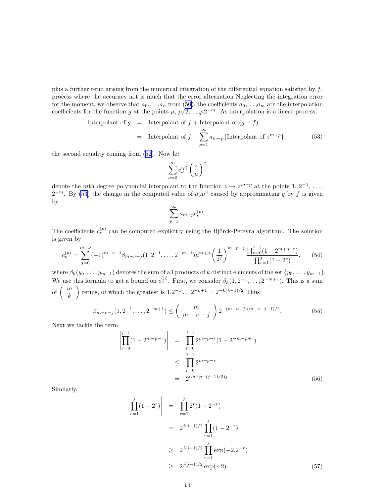<span id="page-14-0"></span>plus a further term arising from the numerical integration of the differential equation satisfied by  $f$ . process where the accuracy not is much that the error alternation Neglecting the integration error for the moment, we observe that  $a_0, \ldots, a_n$  from [\(50](#page-13-0)), the coefficients  $a_0, \ldots, a_m$  are the interpolation coefficients for the function g at the points  $\mu$ ,  $\mu/2, \ldots, \mu 2^{-m}$ . As interpolation is a linear process,

Interpolant of 
$$
g
$$
 = Interpolant of  $f$  + Interpolant of  $(g - f)$   
= Interpolant of  $f - \sum_{p=1}^{\infty} a_{m+p} {\text{Interpolant of } z^{m+p}}$ , (53)

the second equality coming from([52\)](#page-13-0). Now let

$$
\sum_{\nu=0}^m c_{\nu}^{(p)}\left(\frac{z}{\mu}\right)^{\nu}
$$

denote the mth degree polynomial interpolant to the function  $z \mapsto z^{m+p}$  at the points 1, 2<sup>-1</sup>, ...,  $2^{-m}$ . By (53) the change in the computed value of  $a_{\nu}\mu^{\nu}$  caused by approximating g by f is given by

$$
\sum_{p=1}^{\infty} a_{m+p} c_{\nu}^{(p)}.
$$

The coefficients  $c_{\nu}^{(p)}$  can be computed explicitly using the Björck-Pereyra algorithm. The solution is given by

$$
c_{\nu}^{(p)} = \sum_{j=0}^{m-\nu} (-1)^{m-\nu-j} \beta_{m-\nu-j} (1, 2^{-1}, \dots, 2^{-m+1}) \mu^{m+p} \left(\frac{1}{2^j}\right)^{m+p-j} \frac{\prod_{r=0}^{j-1} (1-2^{m+p-r})}{\prod_{r=1}^j (1-2^r)},\tag{54}
$$

where  $\beta_k(y_0, \ldots, y_{m-1})$  denotes the sum of all products of k distinct elements of the set  $\{y_0, \ldots, y_{m-1}\}$ . We use this formula to get a bound on  $c_{\nu}^{(p)}$ . First, we consider  $\beta_k(1, 2^{-1}, \ldots, 2^{-m+1})$ . This is a sum of  $\binom{m}{k}$ k terms, of which the greatest is  $1.2^{-1} \dots 2^{-k+1} = 2^{-k(k-1)/2}$  Thus

$$
\beta_{m-\nu-j}(1,2^{-1},\ldots,2^{-m+1}) \leq {m \choose m-\nu-j} 2^{-(m-\nu-j)(m-\nu-j-1)/2}.
$$
 (55)

Next we tackle the term

$$
\left| \prod_{r=0}^{j-1} (1 - 2^{m+p-r}) \right| = \prod_{r=0}^{j-1} 2^{m+p-r} (1 - 2^{-m-p+r})
$$
  

$$
\leq \prod_{r=0}^{j-1} 2^{m+p-r}
$$
  

$$
= 2^{(m+p-(j-1)/2)j}
$$
(56)

Similarly,

$$
\left| \prod_{r=1}^{j} (1 - 2^r) \right| = \prod_{r=1}^{j} 2^r (1 - 2^{-r})
$$
  
=  $2^{j(j+1)/2} \prod_{r=1}^{j} (1 - 2^{-r})$   
 $\geq 2^{j(j+1)/2} \prod_{r=1}^{j} \exp(-2.2^{-r})$   
 $\geq 2^{j(j+1)/2} \exp(-2)$ . (57)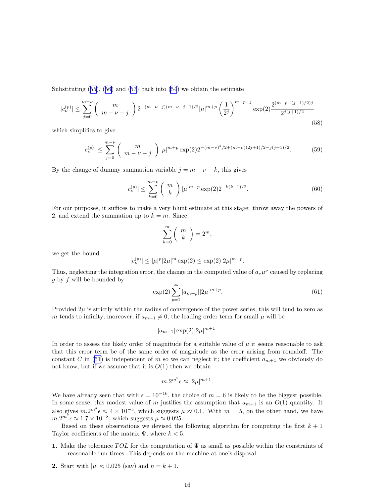Substituting([55\)](#page-14-0),([56\)](#page-14-0) and([57](#page-14-0)) back into [\(54](#page-14-0)) we obtain the estimate

$$
|c_{\nu}^{(p)}| \le \sum_{j=0}^{m-\nu} \binom{m}{m-\nu-j} 2^{-(m-\nu-j)(m-\nu-j-1)/2} |\mu|^{m+p} \left(\frac{1}{2^j}\right)^{m+p-j} \exp(2) \frac{2^{(m+p-(j-1)/2)j}}{2^{j(j+1)/2}} \tag{58}
$$

which simplifies to give

$$
|c_{\nu}^{(p)}| \le \sum_{j=0}^{m-\nu} \binom{m}{m-\nu-j} |\mu|^{m+p} \exp(2) 2^{-(m-\nu)^2/2 + (m-\nu)(2j+1)/2 - j(j+1)/2}.
$$
 (59)

By the change of dummy summation variable  $j = m - \nu - k$ , this gives

$$
|c_{\nu}^{(p)}| \le \sum_{k=0}^{m-\nu} \binom{m}{k} |\mu|^{m+p} \exp(2) 2^{-k(k-1)/2}.
$$
 (60)

For our purposes, it suffices to make a very blunt estimate at this stage: throw away the powers of 2, and extend the summation up to  $k = m$ . Since

$$
\sum_{k=0}^{m} \binom{m}{k} = 2^m,
$$

we get the bound

$$
|c_{\nu}^{(p)}| \leq |\mu|^p |2\mu|^m \exp(2) \leq \exp(2)|2\mu|^{m+p}.
$$

Thus, neglecting the integration error, the change in the computed value of  $a_{\nu}\mu^{\nu}$  caused by replacing  $g$  by  $f$  will be bounded by

$$
\exp(2)\sum_{p=1}^{\infty} |a_{m+p}| |2\mu|^{m+p}.\tag{61}
$$

Provided  $2\mu$  is strictly within the radius of convergence of the power series, this will tend to zero as m tends to infinity; moreover, if  $a_{m+1} \neq 0$ , the leading order term for small  $\mu$  will be

$$
|a_{m+1}| \exp(2) |2\mu|^{m+1}.
$$

In order to assess the likely order of magnitude for a suitable value of  $\mu$  it seems reasonable to ask that this error term be of the same order of magnitude as the error arising from roundoff. The constantC in ([51\)](#page-13-0) is independent of m so we can neglect it; the coefficient  $a_{m+1}$  we obviously do not know, but if we assume that it is  $O(1)$  then we obtain

$$
m \cdot 2^{m^2} \epsilon \approx |2\mu|^{m+1}.
$$

We have already seen that with  $\epsilon = 10^{-16}$ , the choice of  $m = 6$  is likely to be the biggest possible. In some sense, this modest value of m justifies the assumption that  $a_{m+1}$  is an  $O(1)$  quantity. It also gives  $m.2^{m^2} \epsilon \approx 4 \times 10^{-5}$ , which suggests  $\mu \approx 0.1$ . With  $m = 5$ , on the other hand, we have  $m.2^{m^2} \epsilon \approx 1.7 \times 10^{-8}$ , which suggests  $\mu \approx 0.025$ .

Based on these observations we devised the following algorithm for computing the first  $k + 1$ Taylor coefficients of the matrix  $\Psi$ , where  $k < 5$ .

- 1. Make the tolerance TOL for the computation of  $\Psi$  as small as possible within the constraints of reasonable run-times. This depends on the machine at one's disposal.
- 2. Start with  $|\mu| \approx 0.025$  (say) and  $n = k + 1$ .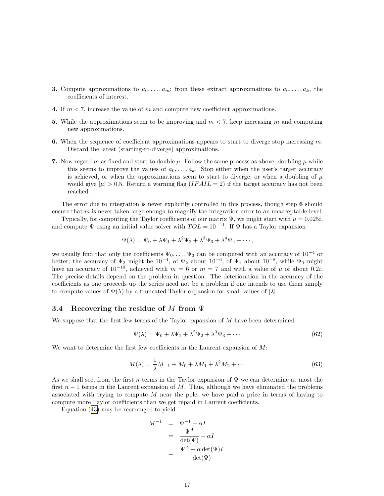- <span id="page-16-0"></span>**3.** Compute approximations to  $a_0, \ldots, a_m$ ; from these extract approximations to  $a_0, \ldots, a_k$ , the coefficients of interest.
- 4. If  $m < 7$ , increase the value of m and compute new coefficient approximations.
- 5. While the approximations seem to be improving and  $m < 7$ , keep increasing m and computing new approximations.
- 6. When the sequence of coefficient approximations appears to start to diverge stop increasing  $m$ . Discard the latest (starting-to-diverge) approximations.
- 7. Now regard m as fixed and start to double  $\mu$ . Follow the same process as above, doubling  $\mu$  while this seems to improve the values of  $a_0, \ldots, a_k$ . Stop either when the user's target accuracy is achieved, or when the approximations seem to start to diverge, or when a doubling of  $\mu$ would give  $|\mu| > 0.5$ . Return a warning flag  $(IFAIL = 2)$  if the target accuracy has not been reached.

The error due to integration is never explicitly controlled in this process, though step 6 should ensure that  $m$  is never taken large enough to magnify the integration error to an unacceptable level.

Typically, for computing the Taylor coefficients of our matrix  $\Psi$ , we might start with  $\mu = 0.025i$ , and compute  $\Psi$  using an initial value solver with  $TOL = 10^{-11}$ . If  $\Psi$  has a Taylor expansion

$$
\Psi(\lambda) = \Psi_0 + \lambda \Psi_1 + \lambda^2 \Psi_2 + \lambda^3 \Psi_3 + \lambda^4 \Psi_4 + \cdots,
$$

we usually find that only the coefficients  $\Psi_0, \ldots, \Psi_3$  can be computed with an accuracy of  $10^{-4}$  or better; the accuracy of  $\Psi_3$  might be  $10^{-4}$ , of  $\Psi_2$  about  $10^{-6}$ , of  $\Psi_1$  about  $10^{-8}$ , while  $\Psi_0$  might have an accuracy of  $10^{-10}$ , achieved with  $m = 6$  or  $m = 7$  and with a value of  $\mu$  of about 0.2*i*. The precise details depend on the problem in question. The deterioration in the accuracy of the coefficients as one proceeds up the series need not be a problem if one intends to use them simply to compute values of  $\Psi(\lambda)$  by a truncated Taylor expansion for small values of  $|\lambda|$ .

#### 3.4 Recovering the residue of M from  $\Psi$

We suppose that the first few terms of the Taylor expansion of  $M$  have been determined:

$$
\Psi(\lambda) = \Psi_0 + \lambda \Psi_1 + \lambda^2 \Psi_2 + \lambda^3 \Psi_3 + \cdots
$$
\n(62)

We want to determine the first few coefficients in the Laurent expansion of  $M$ :

$$
M(\lambda) = \frac{1}{\lambda}M_{-1} + M_0 + \lambda M_1 + \lambda^2 M_2 + \cdots
$$
\n(63)

As we shall see, from the first n terms in the Taylor expansion of  $\Psi$  we can determine at most the first  $n-1$  terms in the Laurent expansion of M. Thus, although we have eliminated the problems associated with trying to compute M near the pole, we have paid a price in terms of having to compute more Taylor coefficients than we get repaid in Laurent coefficients.

Equation([43\)](#page-9-0) may be rearranged to yield

$$
M^{-1} = \Psi^{-1} - \alpha I
$$
  
= 
$$
\frac{\Psi^A}{\det(\Psi)} - \alpha I
$$
  
= 
$$
\frac{\Psi^A - \alpha \det(\Psi)I}{\det(\Psi)}.
$$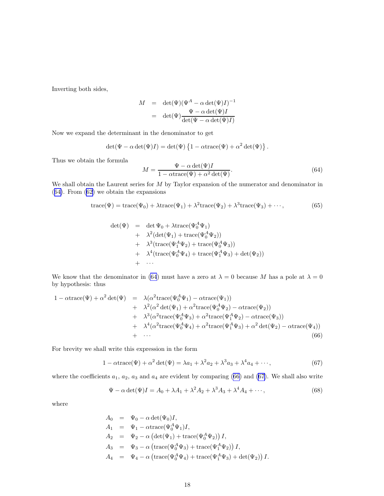<span id="page-17-0"></span>Inverting both sides,

$$
M = \det(\Psi)(\Psi^{A} - \alpha \det(\Psi)I)^{-1}
$$
  
= 
$$
\det(\Psi) \frac{\Psi - \alpha \det(\Psi)I}{\det(\Psi - \alpha \det(\Psi)I)}
$$

Now we expand the determinant in the denominator to get

$$
\det(\Psi - \alpha \det(\Psi)I) = \det(\Psi) \left\{ 1 - \alpha \text{trace}(\Psi) + \alpha^2 \det(\Psi) \right\}.
$$

Thus we obtain the formula

$$
M = \frac{\Psi - \alpha \det(\Psi)I}{1 - \alpha \text{trace}(\Psi) + \alpha^2 \det(\Psi)}.
$$
\n(64)

We shall obtain the Laurent series for M by Taylor expansion of the numerator and denominator in (64). From([62\)](#page-16-0) we obtain the expansions

$$
trace(\Psi) = trace(\Psi_0) + \lambda trace(\Psi_1) + \lambda^2 trace(\Psi_2) + \lambda^3 trace(\Psi_3) + \cdots,
$$
\n(65)

$$
det(\Psi) = det \Psi_0 + \lambda trace(\Psi_0^A \Psi_1)
$$
  
+  $\lambda^2 (det(\Psi_1) + trace(\Psi_0^A \Psi_2))$   
+  $\lambda^3 (trace(\Psi_1^A \Psi_2) + trace(\Psi_0^A \Psi_3))$   
+  $\lambda^4 (trace(\Psi_0^A \Psi_4) + trace(\Psi_1^A \Psi_3) + det(\Psi_2))$   
+  $\cdots$ 

We know that the denominator in (64) must have a zero at  $\lambda = 0$  because M has a pole at  $\lambda = 0$ by hypothesis: thus

$$
1 - \alpha \text{trace}(\Psi) + \alpha^2 \det(\Psi) = \lambda(\alpha^2 \text{trace}(\Psi_0^A \Psi_1) - \alpha \text{trace}(\Psi_1)) + \lambda^2(\alpha^2 \det(\Psi_1) + \alpha^2 \text{trace}(\Psi_0^A \Psi_2) - \alpha \text{trace}(\Psi_2)) + \lambda^3(\alpha^2 \text{trace}(\Psi_0^A \Psi_3) + \alpha^2 \text{trace}(\Psi_1^A \Psi_2) - \alpha \text{trace}(\Psi_3)) + \lambda^4(\alpha^2 \text{trace}(\Psi_0^A \Psi_4) + \alpha^2 \text{trace}(\Psi_1^A \Psi_3) + \alpha^2 \det(\Psi_2) - \alpha \text{trace}(\Psi_4)) + \cdots
$$
(66)

For brevity we shall write this expression in the form

$$
1 - \alpha \text{trace}(\Psi) + \alpha^2 \det(\Psi) = \lambda a_1 + \lambda^2 a_2 + \lambda^3 a_3 + \lambda^4 a_4 + \cdots,
$$
\n(67)

where the coefficients  $a_1, a_2, a_3$  and  $a_4$  are evident by comparing (66) and (67). We shall also write

$$
\Psi - \alpha \det(\Psi)I = A_0 + \lambda A_1 + \lambda^2 A_2 + \lambda^3 A_3 + \lambda^4 A_4 + \cdots,
$$
\n(68)

where

$$
A_0 = \Psi_0 - \alpha \det(\Psi_0)I,
$$
  
\n
$$
A_1 = \Psi_1 - \alpha \text{trace}(\Psi_0^A \Psi_1)I,
$$
  
\n
$$
A_2 = \Psi_2 - \alpha \left( \det(\Psi_1) + \text{trace}(\Psi_0^A \Psi_2) \right)I,
$$
  
\n
$$
A_3 = \Psi_3 - \alpha \left( \text{trace}(\Psi_0^A \Psi_3) + \text{trace}(\Psi_1^A \Psi_2) \right)I,
$$
  
\n
$$
A_4 = \Psi_4 - \alpha \left( \text{trace}(\Psi_0^A \Psi_4) + \text{trace}(\Psi_1^A \Psi_3) + \det(\Psi_2) \right)I.
$$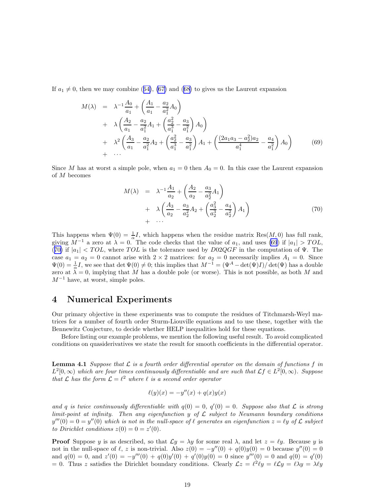<span id="page-18-0"></span>If $a_1 \neq 0$ , then we may combine ([64\)](#page-17-0), [\(67\)](#page-17-0) and ([68\)](#page-17-0) to gives us the Laurent expansion

$$
M(\lambda) = \lambda^{-1} \frac{A_0}{a_1} + \left(\frac{A_1}{a_1} - \frac{a_2}{a_1^2} A_0\right)
$$
  
+  $\lambda \left(\frac{A_2}{a_1} - \frac{a_2}{a_1^2} A_1 + \left(\frac{a_2^2}{a_1^3} - \frac{a_3}{a_1^2}\right) A_0\right)$   
+  $\lambda^2 \left(\frac{A_3}{a_1} - \frac{a_2}{a_1^2} A_2 + \left(\frac{a_2^2}{a_1^3} - \frac{a_3}{a_1^2}\right) A_1 + \left(\frac{(2a_1a_3 - a_2^2)a_2}{a_1^4} - \frac{a_4}{a_1^2}\right) A_0\right)$  (69)  
+ ...

Since M has at worst a simple pole, when  $a_1 = 0$  then  $A_0 = 0$ . In this case the Laurent expansion of M becomes

$$
M(\lambda) = \lambda^{-1} \frac{A_1}{a_2} + \left(\frac{A_2}{a_2} - \frac{a_3}{a_2^2} A_1\right) + \lambda \left(\frac{A_3}{a_2} - \frac{a_3}{a_2^2} A_2 + \left(\frac{a_3^2}{a_2^3} - \frac{a_4}{a_2^2}\right) A_1\right) + \cdots
$$
\n(70)

This happens when  $\Psi(0) = \frac{1}{\alpha}I$ , which happens when the residue matrix Res(M, 0) has full rank, giving  $M^{-1}$  a zero at  $\lambda = 0$ . The code checks that the value of  $a_1$ , and uses (69) if  $|a_1| > TOL$ , (70) if  $|a_1| < TOL$ , where TOL is the tolerance used by  $D02QGF$  in the computation of  $\Psi$ . The case  $a_1 = a_2 = 0$  cannot arise with  $2 \times 2$  matrices: for  $a_2 = 0$  necessarily implies  $A_1 = 0$ . Since  $\Psi(0) = \frac{1}{\alpha}I$ , we see that det  $\Psi(0) \neq 0$ ; this implies that  $M^{-1} = (\Psi^A - \det(\Psi)I)/\det(\Psi)$  has a double zero at  $\lambda = 0$ , implying that M has a double pole (or worse). This is not possible, as both M and  $M^{-1}$  have, at worst, simple poles.

## 4 Numerical Experiments

Our primary objective in these experiments was to compute the residues of Titchmarsh-Weyl matrices for a number of fourth order Sturm-Liouville equations and to use these, together with the Bennewitz Conjecture, to decide whether HELP inequalities hold for these equations.

Before listing our example problems, we mention the following useful result. To avoid complicated conditions on quasiderivatives we state the result for smooth coefficients in the differential operator.

**Lemma 4.1** Suppose that  $\mathcal{L}$  is a fourth order differential operator on the domain of functions f in  $L^2[0,\infty)$  which are four times continuously differentiable and are such that  $\mathcal{L}f \in L^2[0,\infty)$ . Suppose that  $\mathcal L$  has the form  $\mathcal L = \ell^2$  where  $\ell$  is a second order operator

$$
\ell(y)(x) = -y''(x) + q(x)y(x)
$$

and q is twice continuously differentiable with  $q(0) = 0$ ,  $q'(0) = 0$ . Suppose also that  $\mathcal L$  is strong limit-point at infinity. Then any eigenfunction  $y$  of  $\mathcal L$  subject to Neumann boundary conditions  $y'''(0) = 0 = y''(0)$  which is not in the null-space of  $\ell$  generates an eigenfunction  $z = \ell y$  of  $\mathcal L$  subject to Dirichlet conditions  $z(0) = 0 = z'(0)$ .

**Proof** Suppose y is as described, so that  $\mathcal{L}y = \lambda y$  for some real  $\lambda$ , and let  $z = \ell y$ . Because y is not in the null-space of  $\ell$ , z is non-trivial. Also  $z(0) = -y''(0) + q(0)y(0) = 0$  because  $y''(0) = 0$ and  $q(0) = 0$ , and  $z'(0) = -y'''(0) + q(0)y'(0) + q'(0)y(0) = 0$  since  $y'''(0) = 0$  and  $q(0) = q'(0)$ = 0. Thus z satisfies the Dirichlet boundary conditions. Clearly  $\mathcal{L}z = \ell^2 \ell y = \ell \mathcal{L}y = \ell \lambda y = \lambda \ell y$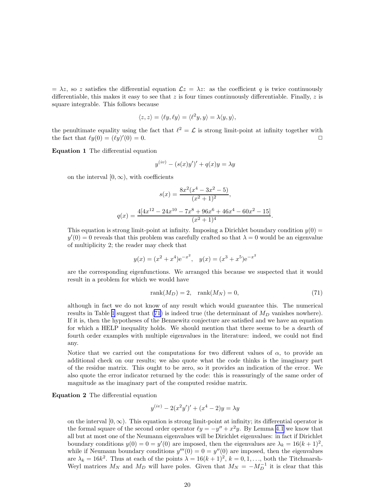$= \lambda z$ , so z satisfies the differential equation  $\mathcal{L}z = \lambda z$ : as the coefficient q is twice continuously differentiable, this makes it easy to see that  $z$  is four times continuously differentiable. Finally,  $z$  is square integrable. This follows because

$$
\langle z, z \rangle = \langle \ell y, \ell y \rangle = \langle \ell^2 y, y \rangle = \lambda \langle y, y \rangle,
$$

the penultimate equality using the fact that  $\ell^2 = \mathcal{L}$  is strong limit-point at infinity together with the fact that  $\ell y(0) = (\ell y)'$  $(0) = 0.$ 

Equation 1 The differential equation

$$
y^{(iv)} - (s(x)y')' + q(x)y = \lambda y
$$

on the interval  $[0, \infty)$ , with coefficients

$$
s(x) = \frac{8x^2(x^4 - 3x^2 - 5)}{(x^2 + 1)^2},
$$
  

$$
q(x) = \frac{4[4x^{12} - 24x^{10} - 7x^8 + 96x^6 + 46x^4 - 60x^2 - 15]}{(x^2 + 1)^4}.
$$

This equation is strong limit-point at infinity. Imposing a Dirichlet boundary condition  $y(0)$  =  $y'(0) = 0$  reveals that this problem was carefully crafted so that  $\lambda = 0$  would be an eigenvalue of multiplicity 2; the reader may check that

$$
y(x) = (x2 + x4)e-x2
$$
,  $y(x) = (x3 + x5)e-x2$ 

are the corresponding eigenfunctions. We arranged this because we suspected that it would result in a problem for which we would have

$$
rank(M_D) = 2, \quad rank(M_N) = 0,\tag{71}
$$

although in fact we do not know of any result which would guarantee this. The numerical results in Table [1](#page-20-0) suggest that  $(71)$  is indeed true (the determinant of  $M_D$  vanishes nowhere). If it is, then the hypotheses of the Bennewitz conjecture are satisfied and we have an equation for which a HELP inequality holds. We should mention that there seems to be a dearth of fourth order examples with multiple eigenvalues in the literature: indeed, we could not find any.

Notice that we carried out the computations for two different values of  $\alpha$ , to provide an additional check on our results; we also quote what the code thinks is the imaginary part of the residue matrix. This ought to be zero, so it provides an indication of the error. We also quote the error indicator returned by the code: this is reassuringly of the same order of magnitude as the imaginary part of the computed residue matrix.

Equation 2 The differential equation

$$
y^{(iv)} - 2(x^{2}y')' + (x^{4} - 2)y = \lambda y
$$

on the interval  $[0, \infty)$ . This equation is strong limit-point at infinity; its differential operator is the formal square of the second order operator  $\ell y = -y'' + x^2y$ . By Lemma [4.1](#page-18-0) we know that all but at most one of the Neumann eigenvalues will be Dirichlet eigenvalues: in fact if Dirichlet boundary conditions  $y(0) = 0 = y'(0)$  are imposed, then the eigenvalues are  $\lambda_k = 16(k+1)^2$ , while if Neumann boundary conditions  $y'''(0) = 0 = y''(0)$  are imposed, then the eigenvalues are  $\lambda_k = 16k^2$ . Thus at each of the points  $\lambda = 16(k+1)^2$ ,  $k = 0, 1, \ldots$ , both the Titchmarsh-Weyl matrices  $M_N$  and  $M_D$  will have poles. Given that  $M_N = -M_D^{-1}$  it is clear that this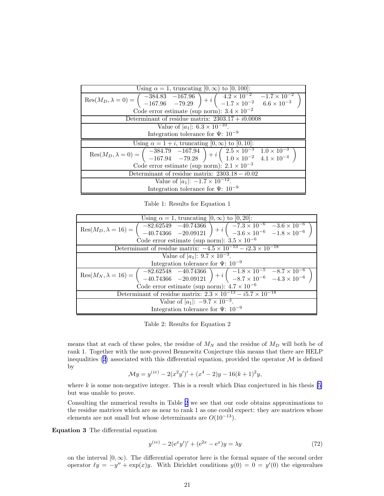<span id="page-20-0"></span>

| Using $\alpha = 1$ , truncating $[0, \infty)$ to $[0, 100]$ :                                                                                                                                                         |
|-----------------------------------------------------------------------------------------------------------------------------------------------------------------------------------------------------------------------|
| Res $(M_D, \lambda = 0) = \begin{pmatrix} -384.83 & -167.96 \\ -167.96 & -79.29 \end{pmatrix} + i \begin{pmatrix} 4.2 \times 10^{-2} & -1.7 \times 10^{-2} \\ -1.7 \times 10^{-2} & 6.6 \times 10^{-3} \end{pmatrix}$ |
| Code error estimate (sup norm): $3.4 \times 10^{-2}$                                                                                                                                                                  |
| Determinant of residue matrix: $2303.17 + i0.0008$                                                                                                                                                                    |
| Value of $ a_1 : 6.3 \times 10^{-10}$ .                                                                                                                                                                               |
| Integration tolerance for $\Psi: 10^{-9}$                                                                                                                                                                             |
| Using $\alpha = 1 + i$ , truncating $[0, \infty)$ to $[0, 10]$ :                                                                                                                                                      |
| Res $(M_D, \lambda = 0) = \begin{pmatrix} -384.79 & -167.94 \\ -167.94 & -79.28 \end{pmatrix} + i \begin{pmatrix} 2.5 \times 10^{-3} & 1.0 \times 10^{-3} \\ 1.0 \times 10^{-2} & 4.1 \times 10^{-4} \end{pmatrix}$   |
| Code error estimate (sup norm): $2.1 \times 10^{-3}$                                                                                                                                                                  |
| Determinant of residue matrix: $2303.18 - i0.02$                                                                                                                                                                      |
| Value of $ a_1 $ : $-1.7 \times 10^{-12}$ .                                                                                                                                                                           |
| Integration tolerance for $\Psi: 10^{-9}$                                                                                                                                                                             |

Table 1: Results for Equation 1

| Using $\alpha = 1$ , truncating $[0, \infty)$ to $[0, 20]$ :                                                                                                                                                                                                                  |
|-------------------------------------------------------------------------------------------------------------------------------------------------------------------------------------------------------------------------------------------------------------------------------|
| Res $(M_D, \lambda = 16) = \begin{pmatrix} -82.62549 & -40.74366 \\ -40.74366 & -20.09121 \end{pmatrix} + i \begin{pmatrix} -7.3 \times 10^{-6} & -3.6 \times 10^{-6} \\ -3.6 \times 10^{-6} & -1.8 \times 10^{-6} \end{pmatrix}$                                             |
| Code error estimate (sup norm): $3.5 \times 10^{-6}$                                                                                                                                                                                                                          |
| Determinant of residue matrix: $-4.5 \times 10^{-13} - i2.3 \times 10^{-18}$                                                                                                                                                                                                  |
| Value of $ a_1 $ : $9.7 \times 10^{-3}$ .                                                                                                                                                                                                                                     |
| Integration tolerance for $\Psi: 10^{-9}$                                                                                                                                                                                                                                     |
| $\operatorname{Res}(M_N, \lambda = 16) = \left( \begin{array}{cc} -82.62548 & -40.74366 \\ -40.74366 & -20.09121 \end{array} \right) + i \left( \begin{array}{cc} -1.8 \times 10^{-5} & -8.7 \times 10^{-6} \\ -8.7 \times 10^{-6} & -4.3 \times 10^{-6} \end{array} \right)$ |
| Code error estimate (sup norm): $4.7 \times 10^{-6}$                                                                                                                                                                                                                          |
| Determinant of residue matrix: $2.3 \times 10^{-13} - i5.7 \times 10^{-18}$                                                                                                                                                                                                   |
| Value of $ a_1 $ : $-9.7 \times 10^{-3}$ .                                                                                                                                                                                                                                    |
| Integration tolerance for $\Psi$ : 10 <sup>-9</sup>                                                                                                                                                                                                                           |

Table 2: Results for Equation 2

means that at each of these poles, the residue of  $M_N$  and the residue of  $M_D$  will both be of rank 1. Together with the now-proved Bennewitz Conjecture this means that there are HELP inequalities [\(2](#page-0-0)) associated with this differential equation, provided the operator  $\mathcal M$  is defined by

$$
\mathcal{M}y = y^{(iv)} - 2(x^2y')' + (x^4 - 2)y - 16(k+1)^2y,
$$

where $k$  is some non-negative integer. This is a result which Diaz conjectured in his thesis  $[5]$  $[5]$  $[5]$ but was unable to prove.

Consulting the numerical results in Table 2 we see that our code obtains approximations to the residue matrices which are as near to rank 1 as one could expect: they are matrices whose elements are not small but whose determinants are  $O(10^{-13})$ .

Equation 3 The differential equation

$$
y^{(iv)} - 2(e^x y')' + (e^{2x} - e^x)y = \lambda y \tag{72}
$$

on the interval  $[0, \infty)$ . The differential operator here is the formal square of the second order operator  $\ell y = -y'' + \exp(x)y$ . With Dirichlet conditions  $y(0) = 0 = y'(0)$  the eigenvalues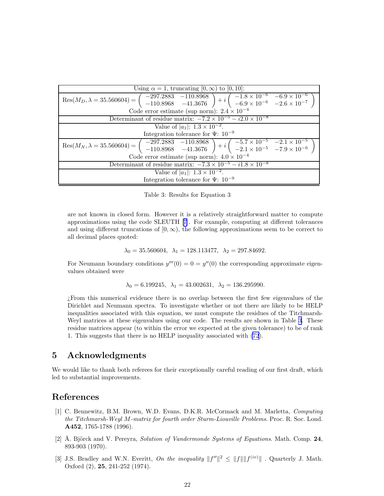<span id="page-21-0"></span>

| Using $\alpha = 1$ , truncating $[0, \infty)$ to $[0, 10]$ :                                                                                                                                                                                                                                    |
|-------------------------------------------------------------------------------------------------------------------------------------------------------------------------------------------------------------------------------------------------------------------------------------------------|
| $\text{Res}(M_D, \lambda = 35.560604) = \begin{pmatrix} -297.2883 & -110.8968 \\ -110.8968 & -41.3676 \end{pmatrix} + i \begin{pmatrix} -1.8 \times 10^{-6} & -6.9 \times 10^{-6} \\ -6.9 \times 10^{-6} & -2.6 \times 10^{-7} \end{pmatrix}$                                                   |
| Code error estimate (sup norm): $2.4 \times 10^{-4}$                                                                                                                                                                                                                                            |
| Determinant of residue matrix: $-7.2 \times 10^{-5} - i2.0 \times 10^{-8}$                                                                                                                                                                                                                      |
| Value of $ a_1 : 1.\overline{3 \times 10^{-2}}.$                                                                                                                                                                                                                                                |
| Integration tolerance for $\Psi$ : 10 <sup>-9</sup>                                                                                                                                                                                                                                             |
| Res $(M_N, \lambda = 35.560604) = \begin{pmatrix} -297.2883 & -110.8968 \\ -110.8968 & -41.3676 \end{pmatrix} + i \begin{pmatrix} -5.7 \times 10^{-5} & -2.1 \times 10^{-5} \\ -2.1 \times 10^{-5} & -7.9 \times 10^{-6} \end{pmatrix}$<br>Code error estimate (sup norm): $4.0 \times 10^{-4}$ |
| Determinant of residue matrix: $-7.3 \times 10^{-5} - i1.8 \times 10^{-8}$                                                                                                                                                                                                                      |
| Value of $ a_1  \cdot \overline{1.3 \times 10^{-2}}$ .                                                                                                                                                                                                                                          |
| Integration tolerance for $\Psi$ : 10 <sup>-9</sup>                                                                                                                                                                                                                                             |

Table 3: Results for Equation 3

are not known in closed form. However it is a relatively straightforward matter to compute approximations using the code SLEUTH[[7\]](#page-22-0). For example, computing at different tolerances and using different truncations of  $[0, \infty)$ , the following approximations seem to be correct to all decimal places quoted:

$$
\lambda_0 = 35.560604, \lambda_1 = 128.113477, \lambda_2 = 297.84692.
$$

For Neumann boundary conditions  $y'''(0) = 0 = y''(0)$  the corresponding approximate eigenvalues obtained were

 $\lambda_0 = 6.199245, \ \lambda_1 = 43.002631, \ \lambda_2 = 136.295990.$ 

¿From this numerical evidence there is no overlap between the first few eigenvalues of the Dirichlet and Neumann spectra. To investigate whether or not there are likely to be HELP inequalities associated with this equation, we must compute the residues of the Titchmarsh-Weyl matrices at these eigenvalues using our code. The results are shown in Table 3. These residue matrices appear (to within the error we expected at the given tolerance) to be of rank 1. This suggests that there is no HELP inequality associated with [\(72](#page-20-0)).

## 5 Acknowledgments

We would like to thank both referees for their exceptionally careful reading of our first draft, which led to substantial improvements.

## References

- [1] C. Bennewitz, B.M. Brown, W.D. Evans, D.K.R. McCormack and M. Marletta, Computing the Titchmarsh-Weyl M-matrix for fourth order Sturm-Liouville Problems. Proc. R. Soc. Lond. A452, 1765-1788 (1996).
- [2]  $\AA$ . Björck and V. Pereyra, Solution of Vandermonde Systems of Equations. Math. Comp. 24, 893-903 (1970).
- [3] J.S. Bradley and W.N. Everitt, On the inequality  $||f''||^2 \le ||f|| ||f^{(iv)}||$ . Quarterly J. Math. Oxford (2), 25, 241-252 (1974).